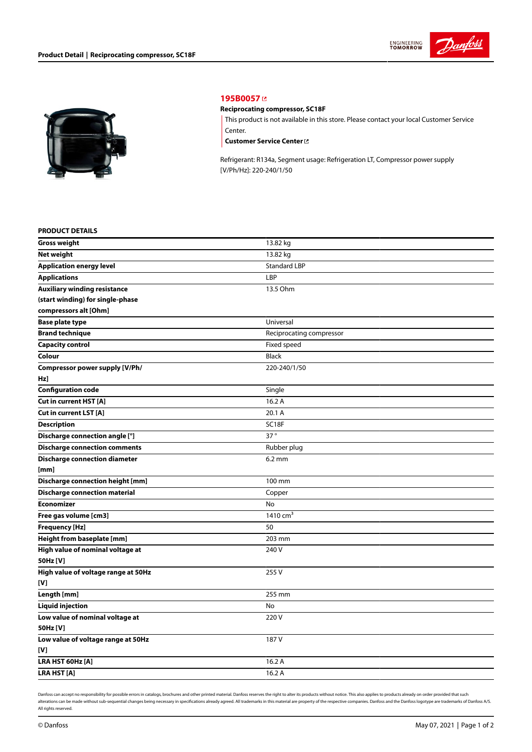



## **[195B0057](https://store.danfoss.com/en/Climate-Solutions-for-cooling/Compressors/Compressors-for-Refrigeration/Danfoss-Light-Commercial-Refrigeration-Compressors/Reciprocating-compressor%2C-SC18F/p/195B0057)**

## **Reciprocating compressor, SC18F**

This product is not available in this store. Please contact your local Customer Service Center.

**[Customer](https://store.danfoss.com/en/customer-service) Service Center**

Refrigerant: R134a, Segment usage: Refrigeration LT, Compressor power supply [V/Ph/Hz]: 220-240/1/50

## **PRODUCT DETAILS**

| <b>Gross weight</b>                     | 13.82 kg                 |
|-----------------------------------------|--------------------------|
| <b>Net weight</b>                       | 13.82 kg                 |
| <b>Application energy level</b>         | <b>Standard LBP</b>      |
| <b>Applications</b>                     | LBP                      |
| <b>Auxiliary winding resistance</b>     | 13.5 Ohm                 |
| (start winding) for single-phase        |                          |
| compressors alt [Ohm]                   |                          |
| <b>Base plate type</b>                  | Universal                |
| <b>Brand technique</b>                  | Reciprocating compressor |
| <b>Capacity control</b>                 | Fixed speed              |
| Colour                                  | <b>Black</b>             |
| Compressor power supply [V/Ph/          | 220-240/1/50             |
| Hz]                                     |                          |
| <b>Configuration code</b>               | Single                   |
| <b>Cut in current HST [A]</b>           | 16.2 A                   |
| Cut in current LST [A]                  | 20.1 A                   |
| <b>Description</b>                      | SC18F                    |
| Discharge connection angle [°]          | 37°                      |
| <b>Discharge connection comments</b>    | Rubber plug              |
| <b>Discharge connection diameter</b>    | $6.2 \text{ mm}$         |
| [mm]                                    |                          |
| <b>Discharge connection height [mm]</b> | 100 mm                   |
| <b>Discharge connection material</b>    | Copper                   |
| Economizer                              | No                       |
| Free gas volume [cm3]                   | 1410 cm <sup>3</sup>     |
| Frequency [Hz]                          | 50                       |
| Height from baseplate [mm]              | 203 mm                   |
| High value of nominal voltage at        | 240 V                    |
| 50Hz [V]                                |                          |
| High value of voltage range at 50Hz     | 255V                     |
| [V]                                     |                          |
| Length [mm]                             | 255 mm                   |
| <b>Liquid injection</b>                 | No                       |
| Low value of nominal voltage at         | 220V                     |
| 50Hz [V]                                |                          |
| Low value of voltage range at 50Hz      | 187 V                    |
| [V]                                     |                          |
| LRA HST 60Hz [A]                        | 16.2 A                   |
| LRA HST [A]                             | 16.2A                    |

Danfoss can accept no responsibility for possible errors in catalogs, brochures and other printed material. Danfoss reserves the right to alter its products without notice. This also applies to products already on order pr alterations can be made without sub-sequential changes being necessary in specifications already agreed. All trademarks in this material are property of the respective companies. Danfoss and the Danfoss logotype are tradem All rights reserved.